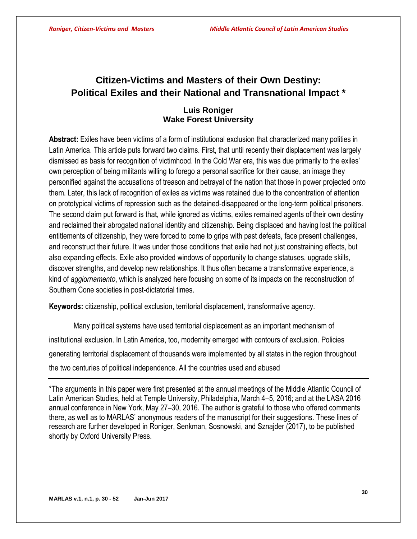# **Citizen-Victims and Masters of their Own Destiny: Political Exiles and their National and Transnational Impact \***

# **Luis Roniger Wake Forest University**

**Abstract:** Exiles have been victims of a form of institutional exclusion that characterized many polities in Latin America. This article puts forward two claims. First, that until recently their displacement was largely dismissed as basis for recognition of victimhood. In the Cold War era, this was due primarily to the exiles' own perception of being militants willing to forego a personal sacrifice for their cause, an image they personified against the accusations of treason and betrayal of the nation that those in power projected onto them. Later, this lack of recognition of exiles as victims was retained due to the concentration of attention on prototypical victims of repression such as the detained-disappeared or the long-term political prisoners. The second claim put forward is that, while ignored as victims, exiles remained agents of their own destiny and reclaimed their abrogated national identity and citizenship. Being displaced and having lost the political entitlements of citizenship, they were forced to come to grips with past defeats, face present challenges, and reconstruct their future. It was under those conditions that exile had not just constraining effects, but also expanding effects. Exile also provided windows of opportunity to change statuses, upgrade skills, discover strengths, and develop new relationships. It thus often became a transformative experience, a kind of *aggiornamento*, which is analyzed here focusing on some of its impacts on the reconstruction of Southern Cone societies in post-dictatorial times.

**Keywords:** citizenship, political exclusion, territorial displacement, transformative agency.

Many political systems have used territorial displacement as an important mechanism of institutional exclusion. In Latin America, too, modernity emerged with contours of exclusion. Policies generating territorial displacement of thousands were implemented by all states in the region throughout the two centuries of political independence. All the countries used and abused

<sup>\*</sup>The arguments in this paper were first presented at the annual meetings of the Middle Atlantic Council of Latin American Studies, held at Temple University, Philadelphia, March 4–5, 2016; and at the LASA 2016 annual conference in New York, May 27–30, 2016. The author is grateful to those who offered comments there, as well as to MARLAS' anonymous readers of the manuscript for their suggestions. These lines of research are further developed in Roniger, Senkman, Sosnowski, and Sznajder (2017), to be published shortly by Oxford University Press.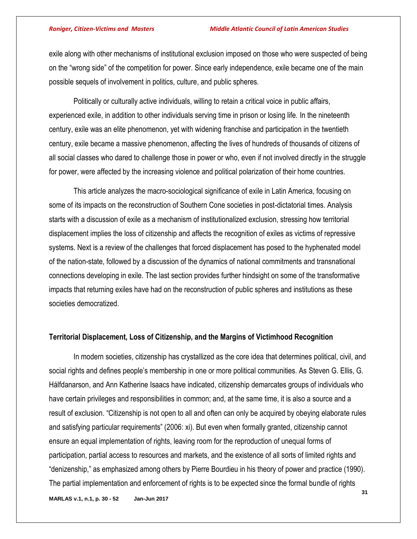exile along with other mechanisms of institutional exclusion imposed on those who were suspected of being on the "wrong side" of the competition for power. Since early independence, exile became one of the main possible sequels of involvement in politics, culture, and public spheres.

Politically or culturally active individuals, willing to retain a critical voice in public affairs, experienced exile, in addition to other individuals serving time in prison or losing life. In the nineteenth century, exile was an elite phenomenon, yet with widening franchise and participation in the twentieth century, exile became a massive phenomenon, affecting the lives of hundreds of thousands of citizens of all social classes who dared to challenge those in power or who, even if not involved directly in the struggle for power, were affected by the increasing violence and political polarization of their home countries.

This article analyzes the macro-sociological significance of exile in Latin America, focusing on some of its impacts on the reconstruction of Southern Cone societies in post-dictatorial times. Analysis starts with a discussion of exile as a mechanism of institutionalized exclusion, stressing how territorial displacement implies the loss of citizenship and affects the recognition of exiles as victims of repressive systems. Next is a review of the challenges that forced displacement has posed to the hyphenated model of the nation-state, followed by a discussion of the dynamics of national commitments and transnational connections developing in exile. The last section provides further hindsight on some of the transformative impacts that returning exiles have had on the reconstruction of public spheres and institutions as these societies democratized.

# **Territorial Displacement, Loss of Citizenship, and the Margins of Victimhood Recognition**

In modern societies, citizenship has crystallized as the core idea that determines political, civil, and social rights and defines people's membership in one or more political communities. As Steven G. Ellis, G. Hálfdanarson, and Ann Katherine Isaacs have indicated, citizenship demarcates groups of individuals who have certain privileges and responsibilities in common; and, at the same time, it is also a source and a result of exclusion. "Citizenship is not open to all and often can only be acquired by obeying elaborate rules and satisfying particular requirements" (2006: xi). But even when formally granted, citizenship cannot ensure an equal implementation of rights, leaving room for the reproduction of unequal forms of participation, partial access to resources and markets, and the existence of all sorts of limited rights and "denizenship," as emphasized among others by Pierre Bourdieu in his theory of power and practice (1990). The partial implementation and enforcement of rights is to be expected since the formal bundle of rights

**MARLAS v.1, n.1, p. 30 - 52 Jan-Jun 2017**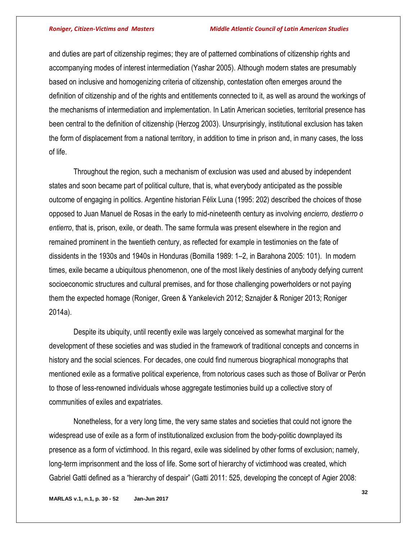and duties are part of citizenship regimes; they are of patterned combinations of citizenship rights and accompanying modes of interest intermediation (Yashar 2005). Although modern states are presumably based on inclusive and homogenizing criteria of citizenship, contestation often emerges around the definition of citizenship and of the rights and entitlements connected to it, as well as around the workings of the mechanisms of intermediation and implementation. In Latin American societies, territorial presence has been central to the definition of citizenship (Herzog 2003). Unsurprisingly, institutional exclusion has taken the form of displacement from a national territory, in addition to time in prison and, in many cases, the loss of life.

Throughout the region, such a mechanism of exclusion was used and abused by independent states and soon became part of political culture, that is, what everybody anticipated as the possible outcome of engaging in politics. Argentine historian Félix Luna (1995: 202) described the choices of those opposed to Juan Manuel de Rosas in the early to mid-nineteenth century as involving *encierro, destierro o entierro*, that is, prison, exile, or death. The same formula was present elsewhere in the region and remained prominent in the twentieth century, as reflected for example in testimonies on the fate of dissidents in the 1930s and 1940s in Honduras (Bomilla 1989: 1–2, in Barahona 2005: 101). In modern times, exile became a ubiquitous phenomenon, one of the most likely destinies of anybody defying current socioeconomic structures and cultural premises, and for those challenging powerholders or not paying them the expected homage (Roniger, Green & Yankelevich 2012; Sznajder & Roniger 2013; Roniger 2014a).

Despite its ubiquity, until recently exile was largely conceived as somewhat marginal for the development of these societies and was studied in the framework of traditional concepts and concerns in history and the social sciences. For decades, one could find numerous biographical monographs that mentioned exile as a formative political experience, from notorious cases such as those of Bolívar or Perón to those of less-renowned individuals whose aggregate testimonies build up a collective story of communities of exiles and expatriates.

Nonetheless, for a very long time, the very same states and societies that could not ignore the widespread use of exile as a form of institutionalized exclusion from the body-politic downplayed its presence as a form of victimhood. In this regard, exile was sidelined by other forms of exclusion; namely, long-term imprisonment and the loss of life. Some sort of hierarchy of victimhood was created, which Gabriel Gatti defined as a "hierarchy of despair" (Gatti 2011: 525, developing the concept of Agier 2008: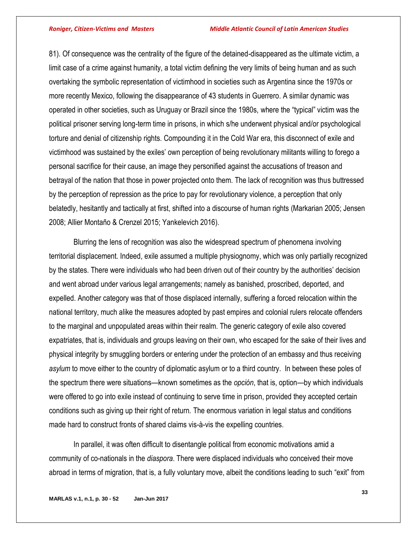81). Of consequence was the centrality of the figure of the detained-disappeared as the ultimate victim, a limit case of a crime against humanity, a total victim defining the very limits of being human and as such overtaking the symbolic representation of victimhood in societies such as Argentina since the 1970s or more recently Mexico, following the disappearance of 43 students in Guerrero. A similar dynamic was operated in other societies, such as Uruguay or Brazil since the 1980s, where the "typical" victim was the political prisoner serving long-term time in prisons, in which s/he underwent physical and/or psychological torture and denial of citizenship rights. Compounding it in the Cold War era, this disconnect of exile and victimhood was sustained by the exiles' own perception of being revolutionary militants willing to forego a personal sacrifice for their cause, an image they personified against the accusations of treason and betrayal of the nation that those in power projected onto them. The lack of recognition was thus buttressed by the perception of repression as the price to pay for revolutionary violence, a perception that only belatedly, hesitantly and tactically at first, shifted into a discourse of human rights (Markarian 2005; Jensen 2008; Allier Montaño & Crenzel 2015; Yankelevich 2016).

Blurring the lens of recognition was also the widespread spectrum of phenomena involving territorial displacement. Indeed, exile assumed a multiple physiognomy, which was only partially recognized by the states. There were individuals who had been driven out of their country by the authorities' decision and went abroad under various legal arrangements; namely as banished, proscribed, deported, and expelled. Another category was that of those displaced internally, suffering a forced relocation within the national territory, much alike the measures adopted by past empires and colonial rulers relocate offenders to the marginal and unpopulated areas within their realm. The generic category of exile also covered expatriates, that is, individuals and groups leaving on their own, who escaped for the sake of their lives and physical integrity by smuggling borders or entering under the protection of an embassy and thus receiving *asylum* to move either to the country of diplomatic asylum or to a third country. In between these poles of the spectrum there were situations—known sometimes as the *opción*, that is, option—by which individuals were offered to go into exile instead of continuing to serve time in prison, provided they accepted certain conditions such as giving up their right of return. The enormous variation in legal status and conditions made hard to construct fronts of shared claims vis-à-vis the expelling countries.

In parallel, it was often difficult to disentangle political from economic motivations amid a community of co-nationals in the *diaspora*. There were displaced individuals who conceived their move abroad in terms of migration, that is, a fully voluntary move, albeit the conditions leading to such "exit" from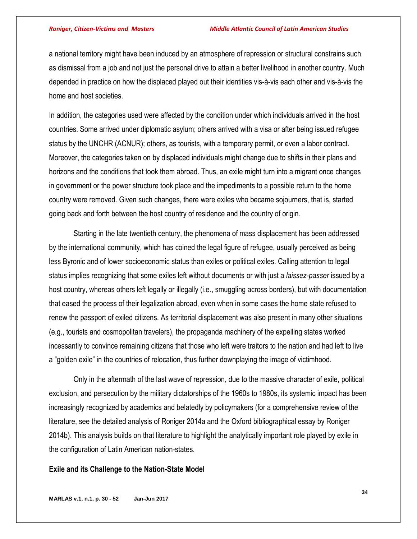a national territory might have been induced by an atmosphere of repression or structural constrains such as dismissal from a job and not just the personal drive to attain a better livelihood in another country. Much depended in practice on how the displaced played out their identities vis-à-vis each other and vis-à-vis the home and host societies.

In addition, the categories used were affected by the condition under which individuals arrived in the host countries. Some arrived under diplomatic asylum; others arrived with a visa or after being issued refugee status by the UNCHR (ACNUR); others, as tourists, with a temporary permit, or even a labor contract. Moreover, the categories taken on by displaced individuals might change due to shifts in their plans and horizons and the conditions that took them abroad. Thus, an exile might turn into a migrant once changes in government or the power structure took place and the impediments to a possible return to the home country were removed. Given such changes, there were exiles who became sojourners, that is, started going back and forth between the host country of residence and the country of origin.

Starting in the late twentieth century, the phenomena of mass displacement has been addressed by the international community, which has coined the legal figure of refugee, usually perceived as being less Byronic and of lower socioeconomic status than exiles or political exiles. Calling attention to legal status implies recognizing that some exiles left without documents or with just a *laissez-passer* issued by a host country, whereas others left legally or illegally (i.e., smuggling across borders), but with documentation that eased the process of their legalization abroad, even when in some cases the home state refused to renew the passport of exiled citizens. As territorial displacement was also present in many other situations (e.g., tourists and cosmopolitan travelers), the propaganda machinery of the expelling states worked incessantly to convince remaining citizens that those who left were traitors to the nation and had left to live a "golden exile" in the countries of relocation, thus further downplaying the image of victimhood.

Only in the aftermath of the last wave of repression, due to the massive character of exile, political exclusion, and persecution by the military dictatorships of the 1960s to 1980s, its systemic impact has been increasingly recognized by academics and belatedly by policymakers (for a comprehensive review of the literature, see the detailed analysis of Roniger 2014a and the Oxford bibliographical essay by Roniger 2014b). This analysis builds on that literature to highlight the analytically important role played by exile in the configuration of Latin American nation-states.

## **Exile and its Challenge to the Nation-State Model**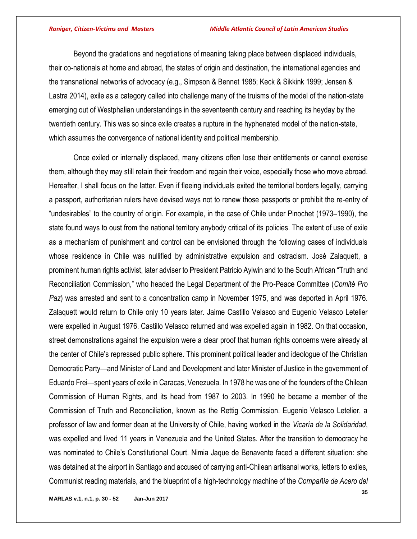Beyond the gradations and negotiations of meaning taking place between displaced individuals, their co-nationals at home and abroad, the states of origin and destination, the international agencies and the transnational networks of advocacy (e.g., Simpson & Bennet 1985; Keck & Sikkink 1999; Jensen & Lastra 2014), exile as a category called into challenge many of the truisms of the model of the nation-state emerging out of Westphalian understandings in the seventeenth century and reaching its heyday by the twentieth century. This was so since exile creates a rupture in the hyphenated model of the nation-state, which assumes the convergence of national identity and political membership.

Once exiled or internally displaced, many citizens often lose their entitlements or cannot exercise them, although they may still retain their freedom and regain their voice, especially those who move abroad. Hereafter, I shall focus on the latter. Even if fleeing individuals exited the territorial borders legally, carrying a passport, authoritarian rulers have devised ways not to renew those passports or prohibit the re-entry of "undesirables" to the country of origin. For example, in the case of Chile under Pinochet (1973–1990), the state found ways to oust from the national territory anybody critical of its policies. The extent of use of exile as a mechanism of punishment and control can be envisioned through the following cases of individuals whose residence in Chile was nullified by administrative expulsion and ostracism. José Zalaquett, a prominent human rights activist, later adviser to President Patricio Aylwin and to the South African "Truth and Reconciliation Commission," who headed the Legal Department of the Pro-Peace Committee (*Comité Pro Paz*) was arrested and sent to a concentration camp in November 1975, and was deported in April 1976. Zalaquett would return to Chile only 10 years later. Jaime Castillo Velasco and Eugenio Velasco Letelier were expelled in August 1976. Castillo Velasco returned and was expelled again in 1982. On that occasion, street demonstrations against the expulsion were a clear proof that human rights concerns were already at the center of Chile's repressed public sphere. This prominent political leader and ideologue of the Christian Democratic Party—and Minister of Land and Development and later Minister of Justice in the government of Eduardo Frei—spent years of exile in Caracas, Venezuela. In 1978 he was one of the founders of the Chilean Commission of Human Rights, and its head from 1987 to 2003. In 1990 he became a member of the Commission of Truth and Reconciliation, known as the Rettig Commission. Eugenio Velasco Letelier, a professor of law and former dean at the University of Chile, having worked in the *Vicaría de la Solidaridad*, was expelled and lived 11 years in Venezuela and the United States. After the transition to democracy he was nominated to Chile's Constitutional Court. Nimia Jaque de Benavente faced a different situation: she was detained at the airport in Santiago and accused of carrying anti-Chilean artisanal works, letters to exiles, Communist reading materials, and the blueprint of a high-technology machine of the *Compañía de Acero del*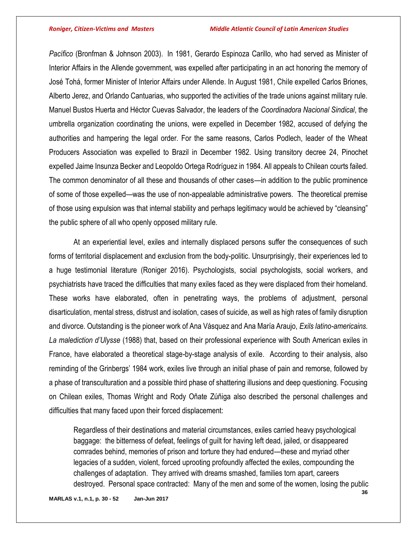*Pacífico* (Bronfman & Johnson 2003). In 1981, Gerardo Espinoza Carillo, who had served as Minister of Interior Affairs in the Allende government, was expelled after participating in an act honoring the memory of José Tohá, former Minister of Interior Affairs under Allende. In August 1981, Chile expelled Carlos Briones, Alberto Jerez, and Orlando Cantuarias, who supported the activities of the trade unions against military rule. Manuel Bustos Huerta and Héctor Cuevas Salvador, the leaders of the *Coordinadora Nacional Sindical*, the umbrella organization coordinating the unions, were expelled in December 1982, accused of defying the authorities and hampering the legal order. For the same reasons, Carlos Podlech, leader of the Wheat Producers Association was expelled to Brazil in December 1982. Using transitory decree 24, Pinochet expelled Jaime Insunza Becker and Leopoldo Ortega Rodríguez in 1984. All appeals to Chilean courts failed. The common denominator of all these and thousands of other cases—in addition to the public prominence of some of those expelled—was the use of non-appealable administrative powers. The theoretical premise of those using expulsion was that internal stability and perhaps legitimacy would be achieved by "cleansing" the public sphere of all who openly opposed military rule.

At an experiential level, exiles and internally displaced persons suffer the consequences of such forms of territorial displacement and exclusion from the body-politic. Unsurprisingly, their experiences led to a huge testimonial literature (Roniger 2016). Psychologists, social psychologists, social workers, and psychiatrists have traced the difficulties that many exiles faced as they were displaced from their homeland. These works have elaborated, often in penetrating ways, the problems of adjustment, personal disarticulation, mental stress, distrust and isolation, cases of suicide, as well as high rates of family disruption and divorce. Outstanding is the pioneer work of Ana Vásquez and Ana María Araujo, *Exils latino-americains. La malediction d'Ulysse* (1988) that, based on their professional experience with South American exiles in France, have elaborated a theoretical stage-by-stage analysis of exile. According to their analysis, also reminding of the Grinbergs' 1984 work, exiles live through an initial phase of pain and remorse, followed by a phase of transculturation and a possible third phase of shattering illusions and deep questioning. Focusing on Chilean exiles, Thomas Wright and Rody Oñate Zúñiga also described the personal challenges and difficulties that many faced upon their forced displacement:

Regardless of their destinations and material circumstances, exiles carried heavy psychological baggage: the bitterness of defeat, feelings of guilt for having left dead, jailed, or disappeared comrades behind, memories of prison and torture they had endured—these and myriad other legacies of a sudden, violent, forced uprooting profoundly affected the exiles, compounding the challenges of adaptation. They arrived with dreams smashed, families torn apart, careers destroyed. Personal space contracted: Many of the men and some of the women, losing the public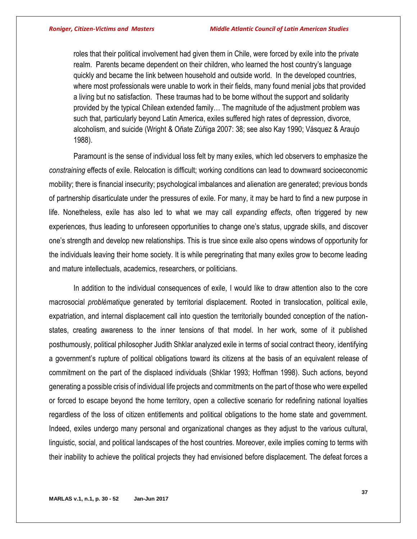roles that their political involvement had given them in Chile, were forced by exile into the private realm. Parents became dependent on their children, who learned the host country's language quickly and became the link between household and outside world. In the developed countries, where most professionals were unable to work in their fields, many found menial jobs that provided a living but no satisfaction. These traumas had to be borne without the support and solidarity provided by the typical Chilean extended family… The magnitude of the adjustment problem was such that, particularly beyond Latin America, exiles suffered high rates of depression, divorce, alcoholism, and suicide (Wright & Oñate Zúñiga 2007: 38; see also Kay 1990; Vásquez & Araujo 1988).

Paramount is the sense of individual loss felt by many exiles, which led observers to emphasize the *constraining* effects of exile. Relocation is difficult; working conditions can lead to downward socioeconomic mobility; there is financial insecurity; psychological imbalances and alienation are generated; previous bonds of partnership disarticulate under the pressures of exile. For many, it may be hard to find a new purpose in life. Nonetheless, exile has also led to what we may call *expanding effects*, often triggered by new experiences, thus leading to unforeseen opportunities to change one's status, upgrade skills, and discover one's strength and develop new relationships. This is true since exile also opens windows of opportunity for the individuals leaving their home society. It is while peregrinating that many exiles grow to become leading and mature intellectuals, academics, researchers, or politicians.

In addition to the individual consequences of exile, I would like to draw attention also to the core macrosocial *problématique* generated by territorial displacement. Rooted in translocation, political exile, expatriation, and internal displacement call into question the territorially bounded conception of the nationstates, creating awareness to the inner tensions of that model. In her work, some of it published posthumously, political philosopher Judith Shklar analyzed exile in terms of social contract theory, identifying a government's rupture of political obligations toward its citizens at the basis of an equivalent release of commitment on the part of the displaced individuals (Shklar 1993; Hoffman 1998). Such actions, beyond generating a possible crisis of individual life projects and commitments on the part of those who were expelled or forced to escape beyond the home territory, open a collective scenario for redefining national loyalties regardless of the loss of citizen entitlements and political obligations to the home state and government. Indeed, exiles undergo many personal and organizational changes as they adjust to the various cultural, linguistic, social, and political landscapes of the host countries. Moreover, exile implies coming to terms with their inability to achieve the political projects they had envisioned before displacement. The defeat forces a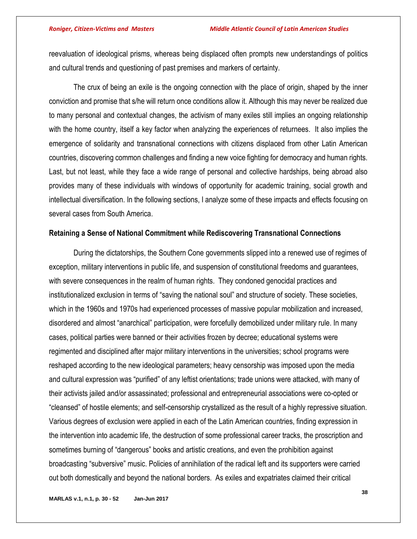reevaluation of ideological prisms, whereas being displaced often prompts new understandings of politics and cultural trends and questioning of past premises and markers of certainty.

The crux of being an exile is the ongoing connection with the place of origin, shaped by the inner conviction and promise that s/he will return once conditions allow it. Although this may never be realized due to many personal and contextual changes, the activism of many exiles still implies an ongoing relationship with the home country, itself a key factor when analyzing the experiences of returnees. It also implies the emergence of solidarity and transnational connections with citizens displaced from other Latin American countries, discovering common challenges and finding a new voice fighting for democracy and human rights. Last, but not least, while they face a wide range of personal and collective hardships, being abroad also provides many of these individuals with windows of opportunity for academic training, social growth and intellectual diversification. In the following sections, I analyze some of these impacts and effects focusing on several cases from South America.

## **Retaining a Sense of National Commitment while Rediscovering Transnational Connections**

During the dictatorships, the Southern Cone governments slipped into a renewed use of regimes of exception, military interventions in public life, and suspension of constitutional freedoms and guarantees, with severe consequences in the realm of human rights. They condoned genocidal practices and institutionalized exclusion in terms of "saving the national soul" and structure of society. These societies, which in the 1960s and 1970s had experienced processes of massive popular mobilization and increased, disordered and almost "anarchical" participation, were forcefully demobilized under military rule. In many cases, political parties were banned or their activities frozen by decree; educational systems were regimented and disciplined after major military interventions in the universities; school programs were reshaped according to the new ideological parameters; heavy censorship was imposed upon the media and cultural expression was "purified" of any leftist orientations; trade unions were attacked, with many of their activists jailed and/or assassinated; professional and entrepreneurial associations were co-opted or "cleansed" of hostile elements; and self-censorship crystallized as the result of a highly repressive situation. Various degrees of exclusion were applied in each of the Latin American countries, finding expression in the intervention into academic life, the destruction of some professional career tracks, the proscription and sometimes burning of "dangerous" books and artistic creations, and even the prohibition against broadcasting "subversive" music. Policies of annihilation of the radical left and its supporters were carried out both domestically and beyond the national borders. As exiles and expatriates claimed their critical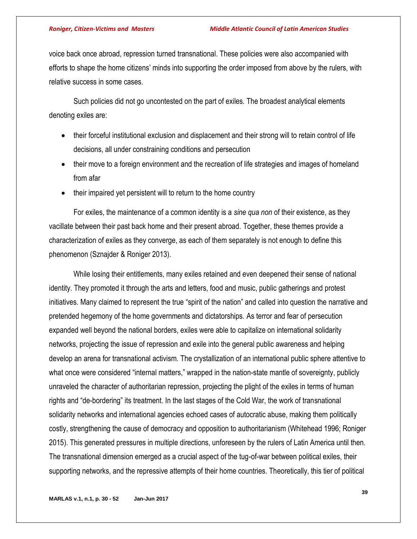voice back once abroad, repression turned transnational. These policies were also accompanied with efforts to shape the home citizens' minds into supporting the order imposed from above by the rulers, with relative success in some cases.

Such policies did not go uncontested on the part of exiles. The broadest analytical elements denoting exiles are:

- their forceful institutional exclusion and displacement and their strong will to retain control of life decisions, all under constraining conditions and persecution
- their move to a foreign environment and the recreation of life strategies and images of homeland from afar
- their impaired yet persistent will to return to the home country

For exiles, the maintenance of a common identity is a *sine qua non* of their existence, as they vacillate between their past back home and their present abroad. Together, these themes provide a characterization of exiles as they converge, as each of them separately is not enough to define this phenomenon (Sznajder & Roniger 2013).

While losing their entitlements, many exiles retained and even deepened their sense of national identity. They promoted it through the arts and letters, food and music, public gatherings and protest initiatives. Many claimed to represent the true "spirit of the nation" and called into question the narrative and pretended hegemony of the home governments and dictatorships. As terror and fear of persecution expanded well beyond the national borders, exiles were able to capitalize on international solidarity networks, projecting the issue of repression and exile into the general public awareness and helping develop an arena for transnational activism. The crystallization of an international public sphere attentive to what once were considered "internal matters," wrapped in the nation-state mantle of sovereignty, publicly unraveled the character of authoritarian repression, projecting the plight of the exiles in terms of human rights and "de-bordering" its treatment. In the last stages of the Cold War, the work of transnational solidarity networks and international agencies echoed cases of autocratic abuse, making them politically costly, strengthening the cause of democracy and opposition to authoritarianism (Whitehead 1996; Roniger 2015). This generated pressures in multiple directions, unforeseen by the rulers of Latin America until then. The transnational dimension emerged as a crucial aspect of the tug-of-war between political exiles, their supporting networks, and the repressive attempts of their home countries. Theoretically, this tier of political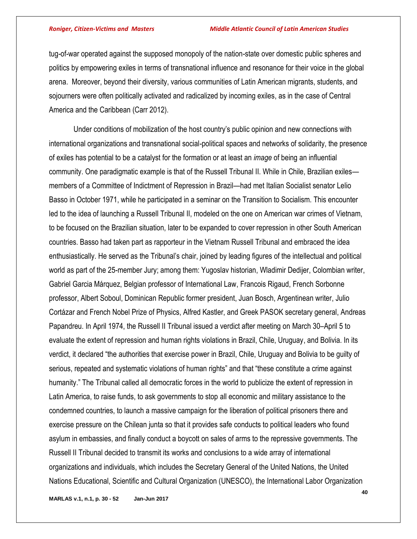tug-of-war operated against the supposed monopoly of the nation-state over domestic public spheres and politics by empowering exiles in terms of transnational influence and resonance for their voice in the global arena. Moreover, beyond their diversity, various communities of Latin American migrants, students, and sojourners were often politically activated and radicalized by incoming exiles, as in the case of Central America and the Caribbean (Carr 2012).

Under conditions of mobilization of the host country's public opinion and new connections with international organizations and transnational social-political spaces and networks of solidarity, the presence of exiles has potential to be a catalyst for the formation or at least an *image* of being an influential community. One paradigmatic example is that of the Russell Tribunal II. While in Chile, Brazilian exiles members of a Committee of Indictment of Repression in Brazil—had met Italian Socialist senator Lelio Basso in October 1971, while he participated in a seminar on the Transition to Socialism. This encounter led to the idea of launching a Russell Tribunal II, modeled on the one on American war crimes of Vietnam, to be focused on the Brazilian situation, later to be expanded to cover repression in other South American countries. Basso had taken part as rapporteur in the Vietnam Russell Tribunal and embraced the idea enthusiastically. He served as the Tribunal's chair, joined by leading figures of the intellectual and political world as part of the 25-member Jury; among them: Yugoslav historian, Wladimir Dedijer, Colombian writer, Gabriel Garcia Márquez, Belgian professor of International Law, Francois Rigaud, French Sorbonne professor, Albert Soboul, Dominican Republic former president, Juan Bosch, Argentinean writer, Julio Cortázar and French Nobel Prize of Physics, Alfred Kastler, and Greek PASOK secretary general, Andreas Papandreu. In April 1974, the Russell II Tribunal issued a verdict after meeting on March 30–April 5 to evaluate the extent of repression and human rights violations in Brazil, Chile, Uruguay, and Bolivia. In its verdict, it declared "the authorities that exercise power in Brazil, Chile, Uruguay and Bolivia to be guilty of serious, repeated and systematic violations of human rights" and that "these constitute a crime against humanity." The Tribunal called all democratic forces in the world to publicize the extent of repression in Latin America, to raise funds, to ask governments to stop all economic and military assistance to the condemned countries, to launch a massive campaign for the liberation of political prisoners there and exercise pressure on the Chilean junta so that it provides safe conducts to political leaders who found asylum in embassies, and finally conduct a boycott on sales of arms to the repressive governments. The Russell II Tribunal decided to transmit its works and conclusions to a wide array of international organizations and individuals, which includes the Secretary General of the United Nations, the United Nations Educational, Scientific and Cultural Organization (UNESCO), the International Labor Organization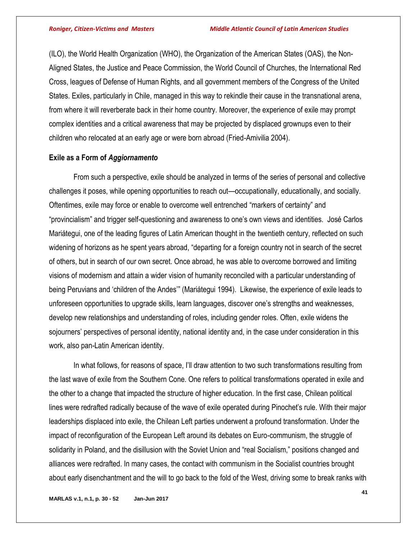(ILO), the World Health Organization (WHO), the Organization of the American States (OAS), the Non-Aligned States, the Justice and Peace Commission, the World Council of Churches, the International Red Cross, leagues of Defense of Human Rights, and all government members of the Congress of the United States. Exiles, particularly in Chile, managed in this way to rekindle their cause in the transnational arena, from where it will reverberate back in their home country. Moreover, the experience of exile may prompt complex identities and a critical awareness that may be projected by displaced grownups even to their children who relocated at an early age or were born abroad (Fried-Amivilia 2004).

# **Exile as a Form of** *Aggiornamento*

From such a perspective, exile should be analyzed in terms of the series of personal and collective challenges it poses, while opening opportunities to reach out—occupationally, educationally, and socially. Oftentimes, exile may force or enable to overcome well entrenched "markers of certainty" and "provincialism" and trigger self-questioning and awareness to one's own views and identities. José Carlos Mariátegui, one of the leading figures of Latin American thought in the twentieth century, reflected on such widening of horizons as he spent years abroad, "departing for a foreign country not in search of the secret of others, but in search of our own secret. Once abroad, he was able to overcome borrowed and limiting visions of modernism and attain a wider vision of humanity reconciled with a particular understanding of being Peruvians and 'children of the Andes'" (Mariátegui 1994). Likewise, the experience of exile leads to unforeseen opportunities to upgrade skills, learn languages, discover one's strengths and weaknesses, develop new relationships and understanding of roles, including gender roles. Often, exile widens the sojourners' perspectives of personal identity, national identity and, in the case under consideration in this work, also pan-Latin American identity.

In what follows, for reasons of space, I'll draw attention to two such transformations resulting from the last wave of exile from the Southern Cone. One refers to political transformations operated in exile and the other to a change that impacted the structure of higher education. In the first case, Chilean political lines were redrafted radically because of the wave of exile operated during Pinochet's rule. With their major leaderships displaced into exile, the Chilean Left parties underwent a profound transformation. Under the impact of reconfiguration of the European Left around its debates on Euro-communism, the struggle of solidarity in Poland, and the disillusion with the Soviet Union and "real Socialism," positions changed and alliances were redrafted. In many cases, the contact with communism in the Socialist countries brought about early disenchantment and the will to go back to the fold of the West, driving some to break ranks with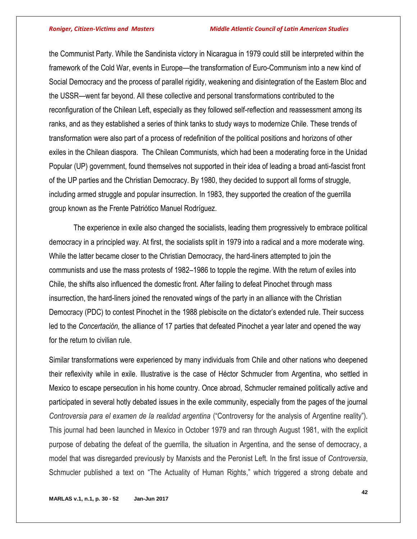the Communist Party. While the Sandinista victory in Nicaragua in 1979 could still be interpreted within the framework of the Cold War, events in Europe—the transformation of Euro-Communism into a new kind of Social Democracy and the process of parallel rigidity, weakening and disintegration of the Eastern Bloc and the USSR—went far beyond. All these collective and personal transformations contributed to the reconfiguration of the Chilean Left, especially as they followed self-reflection and reassessment among its ranks, and as they established a series of think tanks to study ways to modernize Chile. These trends of transformation were also part of a process of redefinition of the political positions and horizons of other exiles in the Chilean diaspora. The Chilean Communists, which had been a moderating force in the Unidad Popular (UP) government, found themselves not supported in their idea of leading a broad anti-fascist front of the UP parties and the Christian Democracy. By 1980, they decided to support all forms of struggle, including armed struggle and popular insurrection. In 1983, they supported the creation of the guerrilla group known as the Frente Patriótico Manuel Rodríguez.

The experience in exile also changed the socialists, leading them progressively to embrace political democracy in a principled way. At first, the socialists split in 1979 into a radical and a more moderate wing. While the latter became closer to the Christian Democracy, the hard-liners attempted to join the communists and use the mass protests of 1982–1986 to topple the regime. With the return of exiles into Chile, the shifts also influenced the domestic front. After failing to defeat Pinochet through mass insurrection, the hard-liners joined the renovated wings of the party in an alliance with the Christian Democracy (PDC) to contest Pinochet in the 1988 plebiscite on the dictator's extended rule. Their success led to the *Concertación,* the alliance of 17 parties that defeated Pinochet a year later and opened the way for the return to civilian rule.

Similar transformations were experienced by many individuals from Chile and other nations who deepened their reflexivity while in exile. Illustrative is the case of Héctor Schmucler from Argentina, who settled in Mexico to escape persecution in his home country. Once abroad, Schmucler remained politically active and participated in several hotly debated issues in the exile community, especially from the pages of the journal *Controversia para el examen de la realidad argentina* ("Controversy for the analysis of Argentine reality"). This journal had been launched in Mexico in October 1979 and ran through August 1981, with the explicit purpose of debating the defeat of the guerrilla, the situation in Argentina, and the sense of democracy, a model that was disregarded previously by Marxists and the Peronist Left. In the first issue of *Controversia*, Schmucler published a text on "The Actuality of Human Rights," which triggered a strong debate and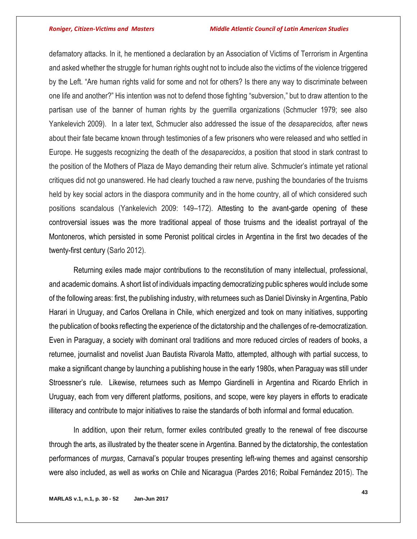defamatory attacks. In it, he mentioned a declaration by an Association of Victims of Terrorism in Argentina and asked whether the struggle for human rights ought not to include also the victims of the violence triggered by the Left. "Are human rights valid for some and not for others? Is there any way to discriminate between one life and another?" His intention was not to defend those fighting "subversion," but to draw attention to the partisan use of the banner of human rights by the guerrilla organizations (Schmucler 1979; see also Yankelevich 2009). In a later text, Schmucler also addressed the issue of the *desaparecidos,* after news about their fate became known through testimonies of a few prisoners who were released and who settled in Europe. He suggests recognizing the death of the *desaparecidos*, a position that stood in stark contrast to the position of the Mothers of Plaza de Mayo demanding their return alive. Schmucler's intimate yet rational critiques did not go unanswered. He had clearly touched a raw nerve, pushing the boundaries of the truisms held by key social actors in the diaspora community and in the home country, all of which considered such positions scandalous (Yankelevich 2009: 149–172). Attesting to the avant-garde opening of these controversial issues was the more traditional appeal of those truisms and the idealist portrayal of the Montoneros, which persisted in some Peronist political circles in Argentina in the first two decades of the twenty-first century (Sarlo 2012).

Returning exiles made major contributions to the reconstitution of many intellectual, professional, and academic domains. A short list of individuals impacting democratizing public spheres would include some of the following areas: first, the publishing industry, with returnees such as Daniel Divinsky in Argentina, Pablo Harari in Uruguay, and Carlos Orellana in Chile, which energized and took on many initiatives, supporting the publication of books reflecting the experience of the dictatorship and the challenges of re-democratization. Even in Paraguay, a society with dominant oral traditions and more reduced circles of readers of books, a returnee, journalist and novelist Juan Bautista Rivarola Matto, attempted, although with partial success, to make a significant change by launching a publishing house in the early 1980s, when Paraguay was still under Stroessner's rule. Likewise, returnees such as Mempo Giardinelli in Argentina and Ricardo Ehrlich in Uruguay, each from very different platforms, positions, and scope, were key players in efforts to eradicate illiteracy and contribute to major initiatives to raise the standards of both informal and formal education.

In addition, upon their return, former exiles contributed greatly to the renewal of free discourse through the arts, as illustrated by the theater scene in Argentina. Banned by the dictatorship, the contestation performances of *murgas*, Carnaval's popular troupes presenting left-wing themes and against censorship were also included, as well as works on Chile and Nicaragua (Pardes 2016; Roibal Fernández 2015). The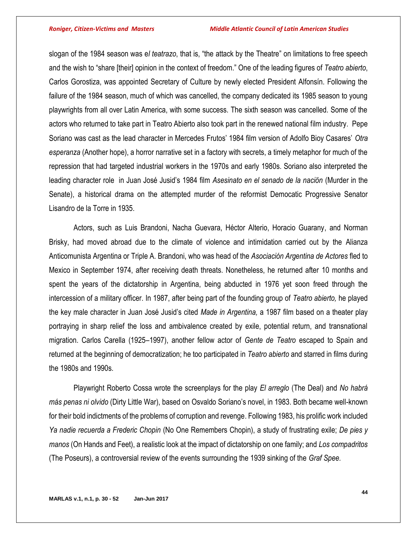slogan of the 1984 season was e*l teatrazo*, that is, "the attack by the Theatre" on limitations to free speech and the wish to "share [their] opinion in the context of freedom." One of the leading figures of *Teatro abierto*, Carlos Gorostiza, was appointed Secretary of Culture by newly elected President Alfonsín. Following the failure of the 1984 season, much of which was cancelled, the company dedicated its 1985 season to young playwrights from all over Latin America, with some success. The sixth season was cancelled. Some of the actors who returned to take part in Teatro Abierto also took part in the renewed national film industry. Pepe Soriano was cast as the lead character in Mercedes Frutos' 1984 film version of Adolfo Bioy Casares' *Otra esperanza* (Another hope), a horror narrative set in a factory with secrets, a timely metaphor for much of the repression that had targeted industrial workers in the 1970s and early 1980s. Soriano also interpreted the leading character role in Juan José Jusid's 1984 film *Asesinato en el senado de la naciön* (Murder in the Senate), a historical drama on the attempted murder of the reformist Democatic Progressive Senator Lisandro de la Torre in 1935.

Actors, such as Luis Brandoni, Nacha Guevara, Héctor Alterio, Horacio Guarany, and Norman Brisky, had moved abroad due to the climate of violence and intimidation carried out by the Alianza Anticomunista Argentina or Triple A. Brandoni, who was head of the *Asociación Argentina de Actores* fled to Mexico in September 1974, after receiving death threats. Nonetheless, he returned after 10 months and spent the years of the dictatorship in Argentina, being abducted in 1976 yet soon freed through the intercession of a military officer. In 1987, after being part of the founding group of *Teatro abierto,* he played the key male character in Juan José Jusid's cited *Made in Argentina,* a 1987 film based on a theater play portraying in sharp relief the loss and ambivalence created by exile, potential return, and transnational migration. Carlos Carella (1925–1997), another fellow actor of *Gente de Teatro* escaped to Spain and returned at the beginning of democratization; he too participated in *Teatro abierto* and starred in films during the 1980s and 1990s.

Playwright Roberto Cossa wrote the screenplays for the play *El arreglo* (The Deal) and *No habrá más penas ni olvido* (Dirty Little War), based on Osvaldo Soriano's novel, in 1983. Both became well-known for their bold indictments of the problems of corruption and revenge. Following 1983, his prolific work included *Ya nadie recuerda a Frederic Chopin* (No One Remembers Chopin), a study of frustrating exile; *De pies y manos* (On Hands and Feet), a realistic look at the impact of dictatorship on one family; and *Los compadritos* (The Poseurs), a controversial review of the events surrounding the 1939 sinking of the *Graf Spee.*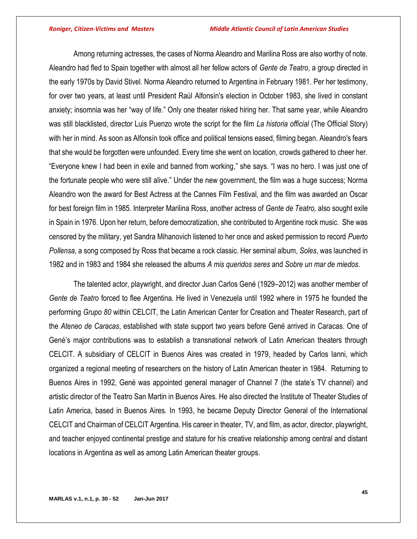Among returning actresses, the cases of Norma Aleandro and Marilina Ross are also worthy of note. Aleandro had fled to Spain together with almost all her fellow actors of *Gente de Teatro*, a group directed in the early 1970s by David Stivel. Norma Aleandro returned to Argentina in February 1981. Per her testimony, for over two years, at least until President Raúl Alfonsín's election in October 1983, she lived in constant anxiety; insomnia was her "way of life." Only one theater risked hiring her. That same year, while Aleandro was still blacklisted, director Luis Puenzo wrote the script for the film *La historia official* (The Official Story) with her in mind. As soon as Alfonsín took office and political tensions eased, filming began. Aleandro's fears that she would be forgotten were unfounded. Every time she went on location, crowds gathered to cheer her. "Everyone knew I had been in exile and banned from working," she says. "I was no hero. I was just one of the fortunate people who were still alive." Under the new government, the film was a huge success; Norma Aleandro won the award for Best Actress at the Cannes Film Festival, and the film was awarded an Oscar for best foreign film in 1985. Interpreter Marilina Ross, another actress of *Gente de Teatro,* also sought exile in Spain in 1976. Upon her return, before democratization, she contributed to Argentine rock music. She was censored by the military, yet Sandra Mihanovich listened to her once and asked permission to record *Puerto Pollensa*, a song composed by Ross that became a rock classic. Her seminal album, *Soles*, was launched in 1982 and in 1983 and 1984 she released the albums *A mis queridos seres* and *Sobre un mar de miedos*.

The talented actor, playwright, and director Juan Carlos Gené (1929–2012) was another member of *Gente de Teatro* forced to flee Argentina. He lived in Venezuela until 1992 where in 1975 he founded the performing *Grupo 80* within CELCIT, the Latin American Center for Creation and Theater Research, part of the *Ateneo de Caracas*, established with state support two years before Gené arrived in Caracas. One of Gené's major contributions was to establish a transnational network of Latin American theaters through CELCIT. A subsidiary of CELCIT in Buenos Aires was created in 1979, headed by Carlos Ianni, which organized a regional meeting of researchers on the history of Latin American theater in 1984. Returning to Buenos Aires in 1992, Gené was appointed general manager of Channel 7 (the state's TV channel) and artistic director of the Teatro San Martin in Buenos Aires. He also directed the Institute of Theater Studies of Latin America, based in Buenos Aires. In 1993, he became Deputy Director General of the International CELCIT and Chairman of CELCIT Argentina. His career in theater, TV, and film, as actor, director, playwright, and teacher enjoyed continental prestige and stature for his creative relationship among central and distant locations in Argentina as well as among Latin American theater groups.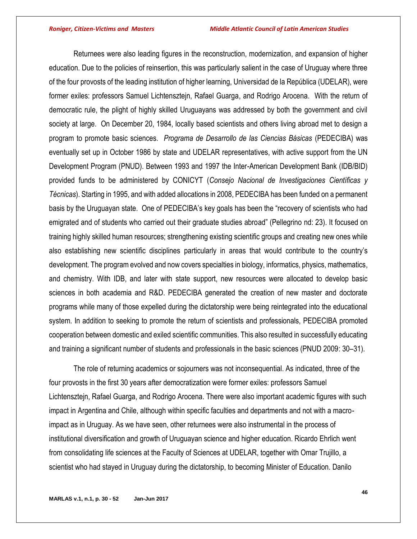Returnees were also leading figures in the reconstruction, modernization, and expansion of higher education. Due to the policies of reinsertion, this was particularly salient in the case of Uruguay where three of the four provosts of the leading institution of higher learning, Universidad de la República (UDELAR), were former exiles: professors Samuel Lichtensztejn, Rafael Guarga, and Rodrigo Arocena. With the return of democratic rule, the plight of highly skilled Uruguayans was addressed by both the government and civil society at large. On December 20, 1984, locally based scientists and others living abroad met to design a program to promote basic sciences. *Programa de Desarrollo de las Ciencias Básicas* (PEDECIBA) was eventually set up in October 1986 by state and UDELAR representatives, with active support from the UN Development Program (PNUD). Between 1993 and 1997 the Inter-American Development Bank (IDB/BID) provided funds to be administered by CONICYT (*Consejo Nacional de Investigaciones Científicas y Técnicas*). Starting in 1995, and with added allocations in 2008, PEDECIBA has been funded on a permanent basis by the Uruguayan state. One of PEDECIBA's key goals has been the "recovery of scientists who had emigrated and of students who carried out their graduate studies abroad" (Pellegrino nd: 23). It focused on training highly skilled human resources; strengthening existing scientific groups and creating new ones while also establishing new scientific disciplines particularly in areas that would contribute to the country's development. The program evolved and now covers specialties in biology, informatics, physics, mathematics, and chemistry. With IDB, and later with state support, new resources were allocated to develop basic sciences in both academia and R&D. PEDECIBA generated the creation of new master and doctorate programs while many of those expelled during the dictatorship were being reintegrated into the educational system. In addition to seeking to promote the return of scientists and professionals, PEDECIBA promoted cooperation between domestic and exiled scientific communities. This also resulted in successfully educating and training a significant number of students and professionals in the basic sciences (PNUD 2009: 30–31).

The role of returning academics or sojourners was not inconsequential. As indicated, three of the four provosts in the first 30 years after democratization were former exiles: professors Samuel Lichtensztejn, Rafael Guarga, and Rodrigo Arocena. There were also important academic figures with such impact in Argentina and Chile, although within specific faculties and departments and not with a macroimpact as in Uruguay. As we have seen, other returnees were also instrumental in the process of institutional diversification and growth of Uruguayan science and higher education. Ricardo Ehrlich went from consolidating life sciences at the Faculty of Sciences at UDELAR, together with Omar Trujillo, a scientist who had stayed in Uruguay during the dictatorship, to becoming Minister of Education. Danilo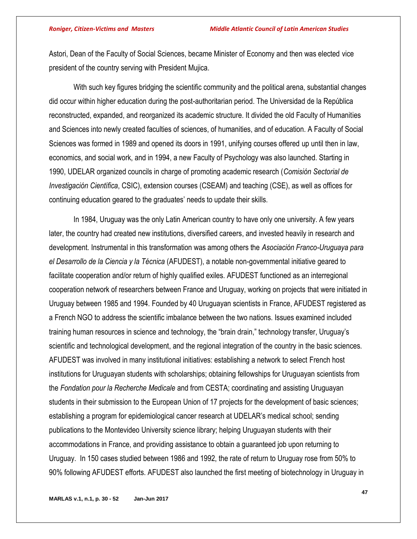Astori, Dean of the Faculty of Social Sciences, became Minister of Economy and then was elected vice president of the country serving with President Mujica.

With such key figures bridging the scientific community and the political arena, substantial changes did occur within higher education during the post-authoritarian period. The Universidad de la República reconstructed, expanded, and reorganized its academic structure. It divided the old Faculty of Humanities and Sciences into newly created faculties of sciences, of humanities, and of education. A Faculty of Social Sciences was formed in 1989 and opened its doors in 1991, unifying courses offered up until then in law, economics, and social work, and in 1994, a new Faculty of Psychology was also launched. Starting in 1990, UDELAR organized councils in charge of promoting academic research (*Comisión Sectorial de Investigación Científica*, CSIC), extension courses (CSEAM) and teaching (CSE), as well as offices for continuing education geared to the graduates' needs to update their skills.

In 1984, Uruguay was the only Latin American country to have only one university. A few years later, the country had created new institutions, diversified careers, and invested heavily in research and development. Instrumental in this transformation was among others the *Asociación Franco-Uruguaya para el Desarrollo de la Ciencia y la Técnica* (AFUDEST), a notable non-governmental initiative geared to facilitate cooperation and/or return of highly qualified exiles. AFUDEST functioned as an interregional cooperation network of researchers between France and Uruguay, working on projects that were initiated in Uruguay between 1985 and 1994. Founded by 40 Uruguayan scientists in France, AFUDEST registered as a French NGO to address the scientific imbalance between the two nations. Issues examined included training human resources in science and technology, the "brain drain," technology transfer, Uruguay's scientific and technological development, and the regional integration of the country in the basic sciences. AFUDEST was involved in many institutional initiatives: establishing a network to select French host institutions for Uruguayan students with scholarships; obtaining fellowships for Uruguayan scientists from the *Fondation pour la Recherche Medicale* and from CESTA; coordinating and assisting Uruguayan students in their submission to the European Union of 17 projects for the development of basic sciences; establishing a program for epidemiological cancer research at UDELAR's medical school; sending publications to the Montevideo University science library; helping Uruguayan students with their accommodations in France, and providing assistance to obtain a guaranteed job upon returning to Uruguay. In 150 cases studied between 1986 and 1992, the rate of return to Uruguay rose from 50% to 90% following AFUDEST efforts. AFUDEST also launched the first meeting of biotechnology in Uruguay in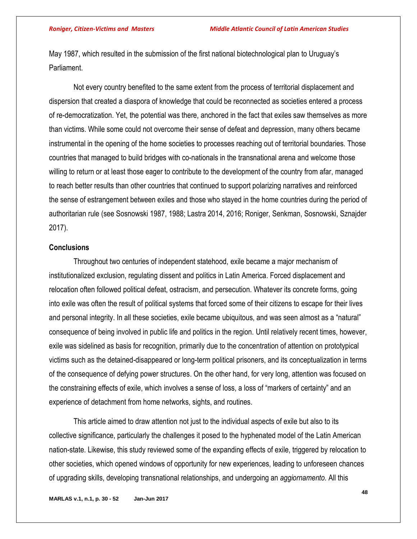May 1987, which resulted in the submission of the first national biotechnological plan to Uruguay's Parliament.

Not every country benefited to the same extent from the process of territorial displacement and dispersion that created a diaspora of knowledge that could be reconnected as societies entered a process of re-democratization. Yet, the potential was there, anchored in the fact that exiles saw themselves as more than victims. While some could not overcome their sense of defeat and depression, many others became instrumental in the opening of the home societies to processes reaching out of territorial boundaries. Those countries that managed to build bridges with co-nationals in the transnational arena and welcome those willing to return or at least those eager to contribute to the development of the country from afar, managed to reach better results than other countries that continued to support polarizing narratives and reinforced the sense of estrangement between exiles and those who stayed in the home countries during the period of authoritarian rule (see Sosnowski 1987, 1988; Lastra 2014, 2016; Roniger, Senkman, Sosnowski, Sznajder 2017).

# **Conclusions**

Throughout two centuries of independent statehood, exile became a major mechanism of institutionalized exclusion, regulating dissent and politics in Latin America. Forced displacement and relocation often followed political defeat, ostracism, and persecution. Whatever its concrete forms, going into exile was often the result of political systems that forced some of their citizens to escape for their lives and personal integrity. In all these societies, exile became ubiquitous, and was seen almost as a "natural" consequence of being involved in public life and politics in the region. Until relatively recent times, however, exile was sidelined as basis for recognition, primarily due to the concentration of attention on prototypical victims such as the detained-disappeared or long-term political prisoners, and its conceptualization in terms of the consequence of defying power structures. On the other hand, for very long, attention was focused on the constraining effects of exile, which involves a sense of loss, a loss of "markers of certainty" and an experience of detachment from home networks, sights, and routines.

This article aimed to draw attention not just to the individual aspects of exile but also to its collective significance, particularly the challenges it posed to the hyphenated model of the Latin American nation-state. Likewise, this study reviewed some of the expanding effects of exile, triggered by relocation to other societies, which opened windows of opportunity for new experiences, leading to unforeseen chances of upgrading skills, developing transnational relationships, and undergoing an *aggiornamento.* All this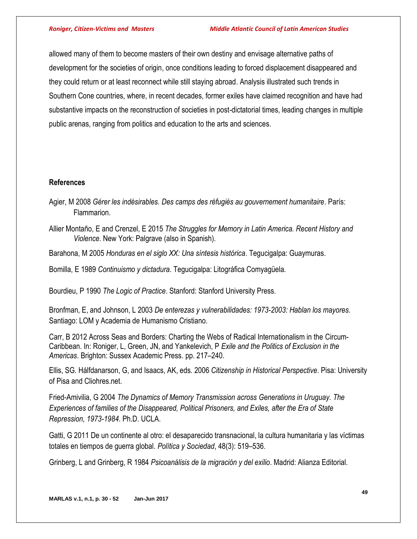allowed many of them to become masters of their own destiny and envisage alternative paths of development for the societies of origin, once conditions leading to forced displacement disappeared and they could return or at least reconnect while still staying abroad. Analysis illustrated such trends in Southern Cone countries, where, in recent decades, former exiles have claimed recognition and have had substantive impacts on the reconstruction of societies in post-dictatorial times, leading changes in multiple public arenas, ranging from politics and education to the arts and sciences.

# **References**

- Agier, M 2008 *Gérer les indésirables. Des camps des réfugiés au gouvernement humanitaire*. París: Flammarion.
- Allier Montaño, E and Crenzel, E 2015 *The Struggles for Memory in Latin America. Recent History and Violence*. New York: Palgrave (also in Spanish).

Barahona, M 2005 *Honduras en el siglo XX: Una síntesis histórica*. Tegucigalpa: Guaymuras.

Bomilla, E 1989 *Continuismo y dictadura*. Tegucigalpa: Litográfica Comyagüela.

Bourdieu, P 1990 *The Logic of Practice*. Stanford: Stanford University Press.

Bronfman, E, and Johnson, L 2003 *De enterezas y vulnerabilidades: 1973-2003: Hablan los mayores*. Santiago: LOM y Academia de Humanismo Cristiano.

Carr, B 2012 Across Seas and Borders: Charting the Webs of Radical Internationalism in the Circum-Caribbean. In: Roniger, L, Green, JN, and Yankelevich, P *Exile and the Politics of Exclusion in the Americas*. Brighton: Sussex Academic Press. pp. 217–240.

Ellis, SG. Hálfdanarson, G, and Isaacs, AK, eds. 2006 *Citizenship in Historical Perspective*. Pisa: University of Pisa and Cliohres.net.

Fried-Amivilia, G 2004 *The Dynamics of Memory Transmission across Generations in Uruguay. The Experiences of families of the Disappeared, Political Prisoners, and Exiles, after the Era of State Repression, 1973-1984*. Ph.D. UCLA.

Gatti, G 2011 De un continente al otro: el desaparecido transnacional, la cultura humanitaria y las víctimas totales en tiempos de guerra global. *Política y Sociedad*, 48(3): 519–536.

Grinberg, L and Grinberg, R 1984 *Psicoanálisis de la migración y del exilio*. Madrid: Alianza Editorial.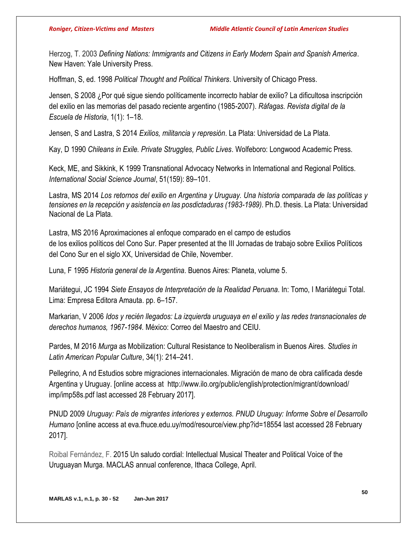Herzog, T. 2003 *Defining Nations: Immigrants and Citizens in Early Modern Spain and Spanish America*. New Haven: Yale University Press.

Hoffman, S, ed. 1998 *Political Thought and Political Thinkers*. University of Chicago Press.

Jensen, S 2008 ¿Por qué sigue siendo políticamente incorrecto hablar de exilio? La dificultosa inscripción del exilio en las memorias del pasado reciente argentino (1985-2007). *Ráfagas. Revista digital de la Escuela de Historia*, 1(1): 1–18.

Jensen, S and Lastra, S 2014 *Exilios, militancia y represión*. La Plata: Universidad de La Plata.

Kay, D 1990 *Chileans in Exile. Private Struggles, Public Lives*. Wolfeboro: Longwood Academic Press.

Keck, ME, and Sikkink, K 1999 Transnational Advocacy Networks in International and Regional Politics. *International Social Science Journal*, 51(159): 89–101.

Lastra, MS 2014 *Los retornos del exilio en Argentina y Uruguay. Una historia comparada de las políticas y tensiones en la recepción y asistencia en las posdictaduras (1983-1989)*. Ph.D. thesis. La Plata: Universidad Nacional de La Plata.

Lastra, MS 2016 Aproximaciones al enfoque comparado en el campo de estudios de los exilios políticos del Cono Sur. Paper presented at the III Jornadas de trabajo sobre Exilios Políticos del Cono Sur en el siglo XX, Universidad de Chile, November.

Luna, F 1995 *Historia general de la Argentina*. Buenos Aires: Planeta, volume 5.

Mariátegui, JC 1994 *Siete Ensayos de Interpretación de la Realidad Peruana*. In: Tomo, I Mariátegui Total*.* Lima: Empresa Editora Amauta. pp. 6–157.

Markarian, V 2006 *Idos y recién llegados: La izquierda uruguaya en el exilio y las redes transnacionales de derechos humanos, 1967-1984.* México: Correo del Maestro and CEIU.

Pardes, M 2016 *Murga* as Mobilization: Cultural Resistance to Neoliberalism in Buenos Aires. *Studies in Latin American Popular Culture*, 34(1): 214–241.

Pellegrino, A nd Estudios sobre migraciones internacionales. Migración de mano de obra calificada desde Argentina y Uruguay. [online access at http://www.ilo.org/public/english/protection/migrant/download/ imp/imp58s.pdf last accessed 28 February 2017].

PNUD 2009 *Uruguay: País de migrantes interiores y externos. PNUD Uruguay: Informe Sobre el Desarrollo Humano* [online access at eva.fhuce.edu.uy/mod/resource/view.php?id=18554 last accessed 28 February 2017].

Roibal Fernández, F. 2015 Un saludo cordial: Intellectual Musical Theater and Political Voice of the Uruguayan Murga. MACLAS annual conference, Ithaca College, April.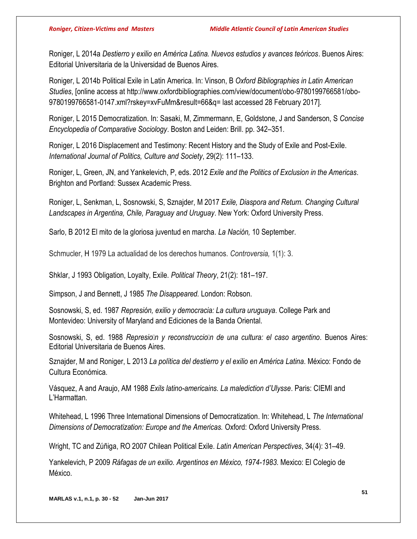Roniger, L 2014a *Destierro y exilio en América Latina. Nuevos estudios y avances teóricos*. Buenos Aires: Editorial Universitaria de la Universidad de Buenos Aires.

Roniger, L 2014b Political Exile in Latin America. In: Vinson, B *Oxford Bibliographies in Latin American Studies*, [online access at http://www.oxfordbibliographies.com/view/document/obo-9780199766581/obo-9780199766581-0147.xml?rskey=xvFuMm&result=66&q= last accessed 28 February 2017].

Roniger, L 2015 Democratization. In: Sasaki, M, Zimmermann, E, Goldstone, J and Sanderson, S *Concise Encyclopedia of Comparative Sociology*. Boston and Leiden: Brill. pp. 342–351.

Roniger, L 2016 Displacement and Testimony: Recent History and the Study of Exile and Post-Exile. *International Journal of Politics, Culture and Society*, 29(2): 111–133.

Roniger, L, Green, JN, and Yankelevich, P, eds. 2012 *Exile and the Politics of Exclusion in the Americas*. Brighton and Portland: Sussex Academic Press.

Roniger, L, Senkman, L, Sosnowski, S, Sznajder, M 2017 *Exile, Diaspora and Return. Changing Cultural Landscapes in Argentina, Chile, Paraguay and Uruguay*. New York: Oxford University Press.

Sarlo, B 2012 El mito de la gloriosa juventud en marcha. *La Nación,* 10 September.

Schmucler, H 1979 La actualidad de los derechos humanos. *Controversia,* 1(1): 3.

Shklar, J 1993 Obligation, Loyalty, Exile. *Political Theory*, 21(2): 181–197.

Simpson, J and Bennett, J 1985 *The Disappeared.* London: Robson.

Sosnowski, S, ed. 1987 *Represión, exilio y democracia: La cultura uruguaya*. College Park and Montevideo: University of Maryland and Ediciones de la Banda Oriental.

Sosnowski, S, ed. 1988 *Represión y reconstrucción de una cultura: el caso argentino*. Buenos Aires: Editorial Universitaria de Buenos Aires.

Sznajder, M and Roniger, L 2013 *La política del destierro y el exilio en América Latina*. México: Fondo de Cultura Económica.

Vásquez, A and Araujo, AM 1988 *Exils latino-americains. La malediction d'Ulysse*. Paris: CIEMI and L'Harmattan.

Whitehead, L 1996 Three International Dimensions of Democratization. In: Whitehead, L *The International Dimensions of Democratization: Europe and the Americas.* Oxford: Oxford University Press.

Wright, TC and Zúñiga, RO 2007 Chilean Political Exile. *Latin American Perspectives*, 34(4): 31–49.

Yankelevich, P 2009 *Ráfagas de un exilio. Argentinos en México, 1974-1983*. Mexico: El Colegio de México.